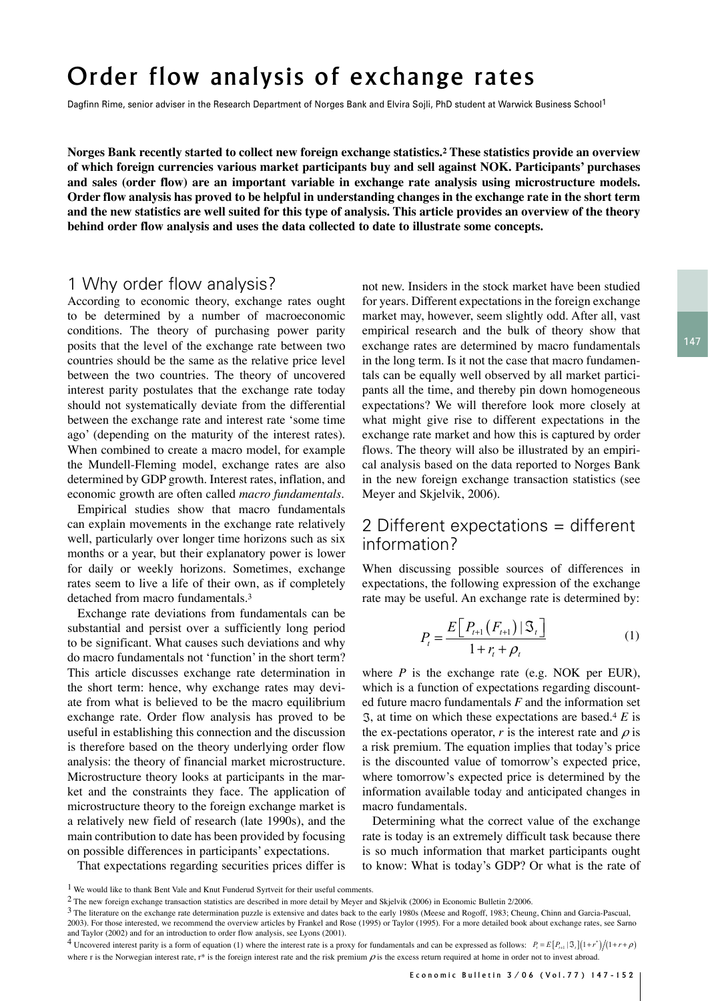evidence? Finally: Who knows which information set can be used to answer these questions?

Determining what the correct value of exchange rate is today is an extremely difficult task because there is so much information that market participants ought to know: What is today's

# Order flow analysis of exchange rates

Dagfinn Rime, senior adviser in the Research Department of Norges Bank and Elvira Sojli, PhD student at Warwick Business School<sup>1</sup>

**Norges Bank recently started to collect new foreign exchange statistics.2 These statistics provide an overview of which foreign currencies various market participants buy and sell against NOK. Participants' purchases and sales (order flow) are an important variable in exchange rate analysis using microstructure models. Order flow analysis has proved to be helpful in understanding changes in the exchange rate in the short term and the new statistics are well suited for this type of analysis. This article provides an overview of the theory**  behind order flow analysis and uses the data collected to date to illustrate some concepts.

#### 1 Why order flow analysis?

According to economic theory, exchange rates ought to be determined by a number of macroeconomic conditions. The theory of purchasing power parity posits that the level of the exchange rate between two countries should be the same as the relative price level between the two countries. The theory of uncovered interest parity postulates that the exchange rate today should not systematically deviate from the differential between the exchange rate and interest rate 'some time ago' (depending on the maturity of the interest rates). When combined to create a macro model, for example the Mundell-Fleming model, exchange rates are also determined by GDP growth. Interest rates, inflation, and

Empirical studies show that macro fundamentals  $\frac{1}{2}$ . The exchange rate is determined by: $\frac{1}{2}$ can explain movements in the exchange rate relatively well, particularly over longer time horizons such as six<br>months or a year, but their explanatory power is lower<br>for the property having a September of the property months or a year, but their explanatory power is lower for daily or weekly horizons. Sometimes, exchange rates seem to live a life of their own, as if completely detached from macro fundamentals.3 *n* γ ρυ

Exchange rate deviations from fundamentals can be **F** and the information set *F* and the information set *F* and the information set *F* and the information set *F* and the information set *F* and the informatio substantial and persist over a sufficiently long period  $E\left[R_{t+1}(F_{t+1})\middle|\mathcal{F}_{t}\right]$ to be significant. What causes such deviations and why  $P_t = \frac{P_t}{1 + r + 0}$  (1) do macro fundamentals not 'function' in the short term? This article discusses exchange rate determination in where  $P$  is the exchange the short term: hence, why exchange rates may deviate from what is believed to be the macro equilibrium 4 exchange rate. Order flow analysis has proved to be  $\%$ , at time on which useful in establishing this connection and the discussion is therefore based on the theory underlying order flow analysis: the theory of financial market microstructure. Microstructure theory looks at participants in the market and the constraints they face. The application of microstructure theory to the foreign exchange market is 'expected' or what is the rate of inflation. What is the rate of inflation what is 'expected' or what that might imply in planet is the rate of the rate of the rate o a relatively new field of research (late 1990s), and the main contribution to date has been provided by focusing on possible differences in participants' expectations.

That expectations regarding securities prices differ is

economic growth are often called *macro fundamentals*. Meyer and Skjelvik, 2006). W analysis? That expectes in the stock market have been studied theory, exchange rates ought for years. Different expectations in the foreign exchange a number of macroeconomic market may, however, seem slightly odd. After all, vast  $\gamma$  of purchasing power parity empirical research and the bulk of theory show that the exchange rate between two exchange rates are determined by macro fundamentals  $\frac{14}{14}$ same as the relative price level in the long term. Is it not the case that macro fundamentals tries. The theory of uncovered tals can be equally well observed by all market particiexplore the teaching of the contract of the time, and thereby pin down homogeneous lly deviate from the differential expectations? We will therefore look more closely at what might give rise to different expectations in the exchange rate market and how this is captured by order flows. The theory will also be illustrated by an empiriare a macro model, for example in flows. The theory will also be illustrated by an empiri-<br>nodel, exchange rates are also cal analysis based on the data reported to Norges Bank in the new foreign exchange transaction statistics (see  $M_{\text{tot}} = 1.81 \div 1.31 \div 200\%$ ) Meyer and Skjelvik, 2006). Skjelvik, 2006).

#### 2 Different expectations = different  $\frac{\text{h as six}}{\text{s lower}}$  information? ent expectations = different information?

When discussing possible sources of differences in  $\epsilon$ expectations, the following expression of the exchange<br>the exchange rate is determined by: medmentals.<sup>3</sup> rate may be useful. An exchange rate is determined by:

$$
P_{t} = \frac{E[P_{t+1}(F_{t+1}) | \mathfrak{S}_{t}]}{1 + r_{t} + \rho_{t}}
$$
 (1)

where  $P$  is the exchange rate (e.g. NOK per EUR), which is a function of expectations regarding discount-Equal to be the macro equilibrium ed future macro fundamentals  $F$  and the information set , at time on which these expectations are based.<sup>4</sup>  $E$  is is connection and the discussion the ex-pectations operator, r is the interest rate and  $\rho$  is a risk premium. The equation implies that today's price is the discounted value of tomorrow's expected price,  $\frac{1}{2}$  and  $\frac{1}{2}$  and  $\frac{1}{2}$  and  $\frac{1}{2}$  and  $\frac{1}{2}$  and  $\frac{1}{2}$  and  $\frac{1}{2}$  and  $\frac{1}{2}$  and  $\frac{1}{2}$  and  $\frac{1}{2}$  and  $\frac{1}{2}$  and  $\frac{1}{2}$  and ooks at participants in the mar- where tomorrow's expected price is determined by the they face. The application of information available today and anticipated changes in<br>the family exchange market is a mean fundamentals macro fundamentals. m of expectations regarding discountd to be  $\Im$ , at time on which these expectations are based.<sup>4</sup> E is

of research (late 1990s), and the Determining what the correct value of the exchange If research (late 1990s), and the Determining what the correct value of the exchange<br>is to as been provided by focusing rate is today is an extremely difficult task because there is so much information that market participants ought<br>  $\frac{1}{2}$  is so much information that market participants ought to know: What is today's GDP? Or what is the rate of arding securities prices differ is  $\pi$  to know, what is today s ODP? Or what is the rate of

 $^1$  We would like to thank Bent Vale and Knut Funderud Syrtveit for their useful comments.

The new foreign exchange transaction statistics are described in more detail by Meyer and Skjelvik (2006) in Economic Bulletin 2/2006.

<sup>&</sup>lt;sup>3</sup> The literature on the exchange rate determination puzzle is extensive and dates back to the early 1980s (Meese and Rogoff, 1983; Cheung, Chinn and Garcia-Pascual,<br>2003) For those interested, we recommend the overview a 2003). For those interested, we recommend the overview articles by Frankel and Rose (1995) or Taylor (1995). For a more detailed book about exchange rates, see Sarno<br>and Taylor (2002) and for an introduction to order flow and Taylor (2002) and for an introduction to order flow analysis, see Lyons (2001).

<sup>&</sup>lt;sup>4</sup> Uncovered interest parity is a form of equation (1) where the interest rate is a proxy for fundamentals and can be expressed as follows:  $P_i = E[P_{i+1} | \mathcal{S}_i](1+r^*)/(1+r+\rho)$ where r is the Norwegian interest rate,  $r^*$  is the foreign interest rate and the risk premium  $\rho$  is the excess return required at home in order not to invest abroad.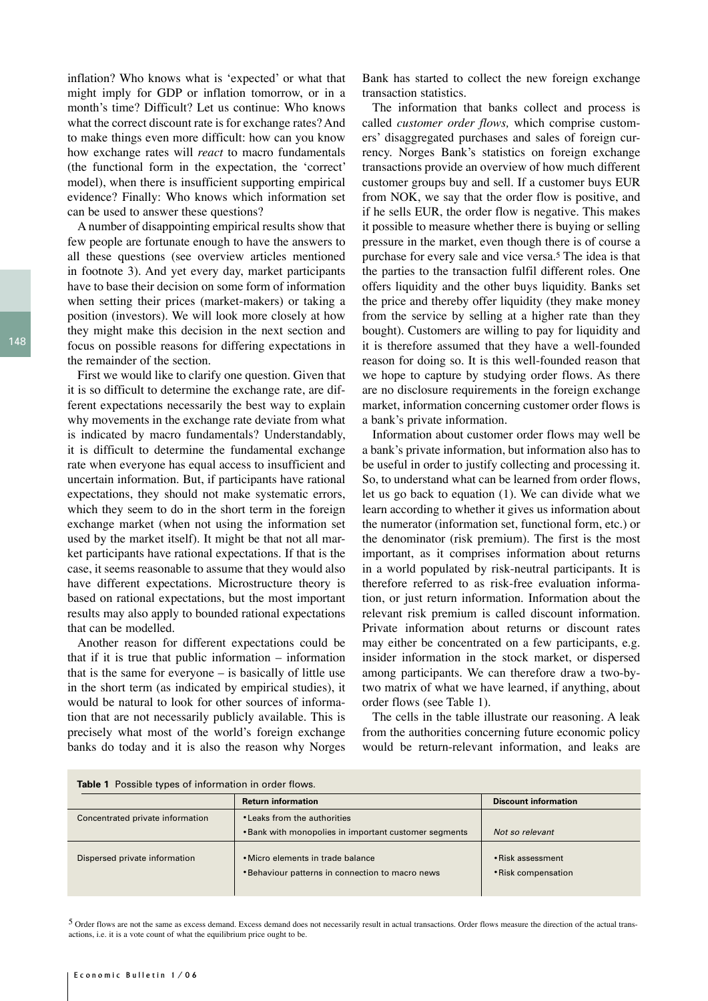inflation? Who knows what is 'expected' or what that might imply for GDP or inflation tomorrow, or in a month's time? Difficult? Let us continue: Who knows what the correct discount rate is for exchange rates? And to make things even more difficult: how can you know how exchange rates will *react* to macro fundamentals (the functional form in the expectation, the 'correct' model), when there is insufficient supporting empirical evidence? Finally: Who knows which information set can be used to answer these questions?

A number of disappointing empirical results show that few people are fortunate enough to have the answers to all these questions (see overview articles mentioned in footnote 3). And yet every day, market participants have to base their decision on some form of information when setting their prices (market-makers) or taking a position (investors). We will look more closely at how they might make this decision in the next section and focus on possible reasons for differing expectations in the remainder of the section.

First we would like to clarify one question. Given that it is so difficult to determine the exchange rate, are different expectations necessarily the best way to explain why movements in the exchange rate deviate from what is indicated by macro fundamentals? Understandably, it is difficult to determine the fundamental exchange rate when everyone has equal access to insufficient and uncertain information. But, if participants have rational expectations, they should not make systematic errors, which they seem to do in the short term in the foreign exchange market (when not using the information set used by the market itself). It might be that not all market participants have rational expectations. If that is the case, it seems reasonable to assume that they would also have different expectations. Microstructure theory is based on rational expectations, but the most important results may also apply to bounded rational expectations that can be modelled.

Another reason for different expectations could be that if it is true that public information – information that is the same for everyone – is basically of little use in the short term (as indicated by empirical studies), it would be natural to look for other sources of information that are not necessarily publicly available. This is precisely what most of the world's foreign exchange banks do today and it is also the reason why Norges Bank has started to collect the new foreign exchange transaction statistics.

The information that banks collect and process is called *customer order flows,* which comprise customers' disaggregated purchases and sales of foreign currency. Norges Bank's statistics on foreign exchange transactions provide an overview of how much different customer groups buy and sell. If a customer buys EUR from NOK, we say that the order flow is positive, and if he sells EUR, the order flow is negative. This makes it possible to measure whether there is buying or selling pressure in the market, even though there is of course a purchase for every sale and vice versa.5 The idea is that the parties to the transaction fulfil different roles. One offers liquidity and the other buys liquidity. Banks set the price and thereby offer liquidity (they make money from the service by selling at a higher rate than they bought). Customers are willing to pay for liquidity and it is therefore assumed that they have a well-founded reason for doing so. It is this well-founded reason that we hope to capture by studying order flows. As there are no disclosure requirements in the foreign exchange market, information concerning customer order flows is a bank's private information.

Information about customer order flows may well be a bank's private information, but information also has to be useful in order to justify collecting and processing it. So, to understand what can be learned from order flows, let us go back to equation (1). We can divide what we learn according to whether it gives us information about the numerator (information set, functional form, etc.) or the denominator (risk premium). The first is the most important, as it comprises information about returns in a world populated by risk-neutral participants. It is therefore referred to as risk-free evaluation information, or just return information. Information about the relevant risk premium is called discount information. Private information about returns or discount rates may either be concentrated on a few participants, e.g. insider information in the stock market, or dispersed among participants. We can therefore draw a two-bytwo matrix of what we have learned, if anything, about order flows (see Table 1).

The cells in the table illustrate our reasoning. A leak from the authorities concerning future economic policy would be return-relevant information, and leaks are

| <b>Table 1</b> Possible types of information in order flows. |                                                                                       |                                          |  |  |
|--------------------------------------------------------------|---------------------------------------------------------------------------------------|------------------------------------------|--|--|
|                                                              | <b>Return information</b>                                                             | <b>Discount information</b>              |  |  |
| Concentrated private information                             | • Leaks from the authorities                                                          |                                          |  |  |
|                                                              | • Bank with monopolies in important customer segments                                 | Not so relevant                          |  |  |
| Dispersed private information                                | • Micro elements in trade balance<br>• Behaviour patterns in connection to macro news | • Risk assessment<br>• Risk compensation |  |  |

5 Order flows are not the same as excess demand. Excess demand does not necessarily result in actual transactions. Order flows measure the direction of the actual transactions, i.e. it is a vote count of what the equilibrium price ought to be.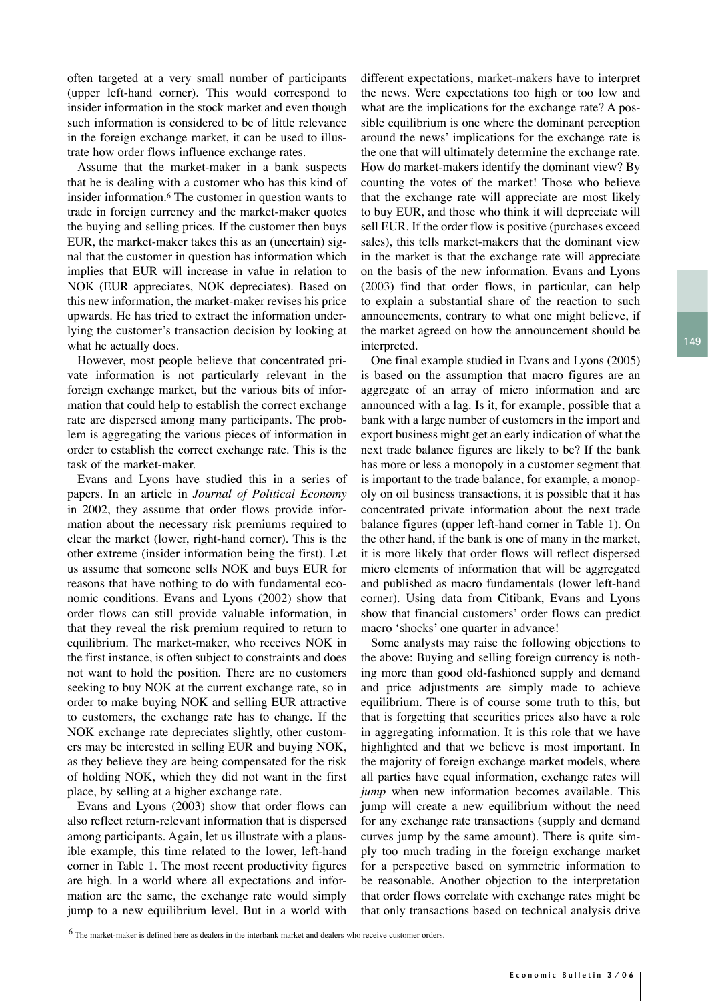often targeted at a very small number of participants (upper left-hand corner). This would correspond to insider information in the stock market and even though such information is considered to be of little relevance in the foreign exchange market, it can be used to illustrate how order flows influence exchange rates.

Assume that the market-maker in a bank suspects that he is dealing with a customer who has this kind of insider information.6 The customer in question wants to trade in foreign currency and the market-maker quotes the buying and selling prices. If the customer then buys EUR, the market-maker takes this as an (uncertain) signal that the customer in question has information which implies that EUR will increase in value in relation to NOK (EUR appreciates, NOK depreciates). Based on this new information, the market-maker revises his price upwards. He has tried to extract the information underlying the customer's transaction decision by looking at what he actually does.

However, most people believe that concentrated private information is not particularly relevant in the foreign exchange market, but the various bits of information that could help to establish the correct exchange rate are dispersed among many participants. The problem is aggregating the various pieces of information in order to establish the correct exchange rate. This is the task of the market-maker.

Evans and Lyons have studied this in a series of papers. In an article in *Journal of Political Economy*  in 2002, they assume that order flows provide information about the necessary risk premiums required to clear the market (lower, right-hand corner). This is the other extreme (insider information being the first). Let us assume that someone sells NOK and buys EUR for reasons that have nothing to do with fundamental economic conditions. Evans and Lyons (2002) show that order flows can still provide valuable information, in that they reveal the risk premium required to return to equilibrium. The market-maker, who receives NOK in the first instance, is often subject to constraints and does not want to hold the position. There are no customers seeking to buy NOK at the current exchange rate, so in order to make buying NOK and selling EUR attractive to customers, the exchange rate has to change. If the NOK exchange rate depreciates slightly, other customers may be interested in selling EUR and buying NOK, as they believe they are being compensated for the risk of holding NOK, which they did not want in the first place, by selling at a higher exchange rate.

Evans and Lyons (2003) show that order flows can also reflect return-relevant information that is dispersed among participants. Again, let us illustrate with a plausible example, this time related to the lower, left-hand corner in Table 1. The most recent productivity figures are high. In a world where all expectations and information are the same, the exchange rate would simply jump to a new equilibrium level. But in a world with different expectations, market-makers have to interpret the news. Were expectations too high or too low and what are the implications for the exchange rate? A possible equilibrium is one where the dominant perception around the news' implications for the exchange rate is the one that will ultimately determine the exchange rate. How do market-makers identify the dominant view? By counting the votes of the market! Those who believe that the exchange rate will appreciate are most likely to buy EUR, and those who think it will depreciate will sell EUR. If the order flow is positive (purchases exceed sales), this tells market-makers that the dominant view in the market is that the exchange rate will appreciate on the basis of the new information. Evans and Lyons (2003) find that order flows, in particular, can help to explain a substantial share of the reaction to such announcements, contrary to what one might believe, if the market agreed on how the announcement should be interpreted.

One final example studied in Evans and Lyons (2005) is based on the assumption that macro figures are an aggregate of an array of micro information and are announced with a lag. Is it, for example, possible that a bank with a large number of customers in the import and export business might get an early indication of what the next trade balance figures are likely to be? If the bank has more or less a monopoly in a customer segment that is important to the trade balance, for example, a monopoly on oil business transactions, it is possible that it has concentrated private information about the next trade balance figures (upper left-hand corner in Table 1). On the other hand, if the bank is one of many in the market, it is more likely that order flows will reflect dispersed micro elements of information that will be aggregated and published as macro fundamentals (lower left-hand corner). Using data from Citibank, Evans and Lyons show that financial customers' order flows can predict macro 'shocks' one quarter in advance!

Some analysts may raise the following objections to the above: Buying and selling foreign currency is nothing more than good old-fashioned supply and demand and price adjustments are simply made to achieve equilibrium. There is of course some truth to this, but that is forgetting that securities prices also have a role in aggregating information. It is this role that we have highlighted and that we believe is most important. In the majority of foreign exchange market models, where all parties have equal information, exchange rates will *jump* when new information becomes available. This jump will create a new equilibrium without the need for any exchange rate transactions (supply and demand curves jump by the same amount). There is quite simply too much trading in the foreign exchange market for a perspective based on symmetric information to be reasonable. Another objection to the interpretation that order flows correlate with exchange rates might be that only transactions based on technical analysis drive

6 The market-maker is defined here as dealers in the interbank market and dealers who receive customer orders.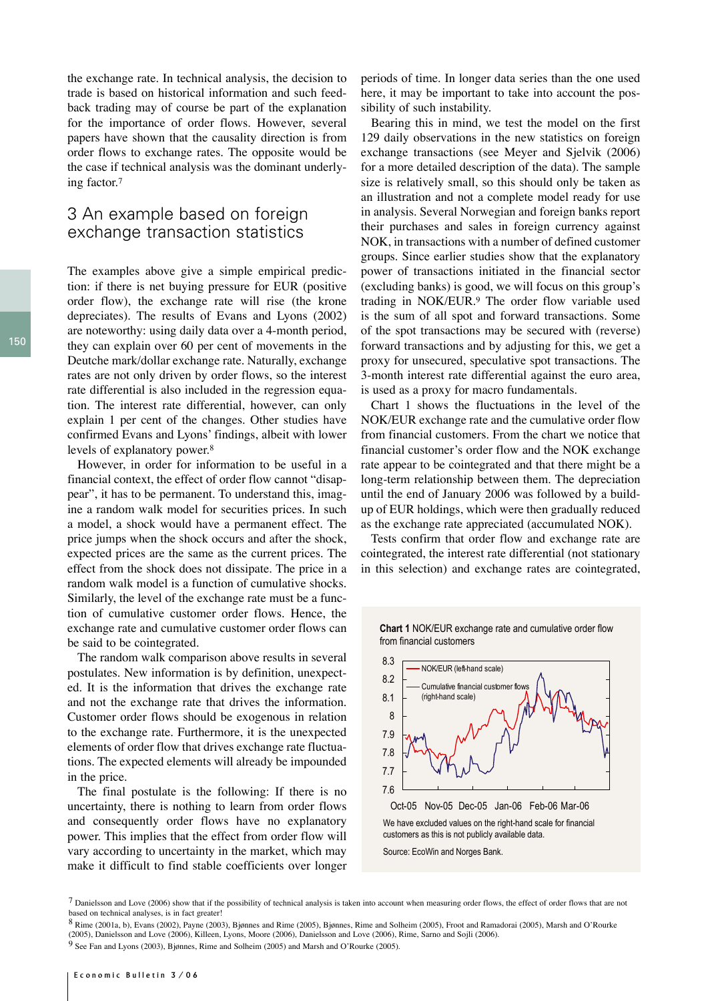the exchange rate. In technical analysis, the decision to trade is based on historical information and such feedback trading may of course be part of the explanation for the importance of order flows. However, several papers have shown that the causality direction is from order flows to exchange rates. The opposite would be the case if technical analysis was the dominant underlying factor.7

### 3 An example based on foreign exchange transaction statistics

The examples above give a simple empirical prediction: if there is net buying pressure for EUR (positive order flow), the exchange rate will rise (the krone depreciates). The results of Evans and Lyons (2002) are noteworthy: using daily data over a 4-month period, they can explain over 60 per cent of movements in the Deutche mark/dollar exchange rate. Naturally, exchange rates are not only driven by order flows, so the interest rate differential is also included in the regression equation. The interest rate differential, however, can only explain 1 per cent of the changes. Other studies have confirmed Evans and Lyons' findings, albeit with lower levels of explanatory power.8

However, in order for information to be useful in a financial context, the effect of order flow cannot "disappear", it has to be permanent. To understand this, imagine a random walk model for securities prices. In such a model, a shock would have a permanent effect. The price jumps when the shock occurs and after the shock, expected prices are the same as the current prices. The effect from the shock does not dissipate. The price in a random walk model is a function of cumulative shocks. Similarly, the level of the exchange rate must be a function of cumulative customer order flows. Hence, the exchange rate and cumulative customer order flows can be said to be cointegrated.

The random walk comparison above results in several postulates. New information is by definition, unexpected. It is the information that drives the exchange rate and not the exchange rate that drives the information. Customer order flows should be exogenous in relation to the exchange rate. Furthermore, it is the unexpected elements of order flow that drives exchange rate fluctuations. The expected elements will already be impounded in the price.

The final postulate is the following: If there is no uncertainty, there is nothing to learn from order flows and consequently order flows have no explanatory power. This implies that the effect from order flow will vary according to uncertainty in the market, which may make it difficult to find stable coefficients over longer periods of time. In longer data series than the one used here, it may be important to take into account the possibility of such instability.

Bearing this in mind, we test the model on the first 129 daily observations in the new statistics on foreign exchange transactions (see Meyer and Sjelvik (2006) for a more detailed description of the data). The sample size is relatively small, so this should only be taken as an illustration and not a complete model ready for use in analysis. Several Norwegian and foreign banks report their purchases and sales in foreign currency against NOK, in transactions with a number of defined customer groups. Since earlier studies show that the explanatory power of transactions initiated in the financial sector (excluding banks) is good, we will focus on this group's trading in NOK/EUR.9 The order flow variable used is the sum of all spot and forward transactions. Some of the spot transactions may be secured with (reverse) forward transactions and by adjusting for this, we get a proxy for unsecured, speculative spot transactions. The 3-month interest rate differential against the euro area, is used as a proxy for macro fundamentals.

Chart 1 shows the fluctuations in the level of the NOK/EUR exchange rate and the cumulative order flow from financial customers. From the chart we notice that financial customer's order flow and the NOK exchange rate appear to be cointegrated and that there might be a long-term relationship between them. The depreciation until the end of January 2006 was followed by a buildup of EUR holdings, which were then gradually reduced as the exchange rate appreciated (accumulated NOK).

Tests confirm that order flow and exchange rate are cointegrated, the interest rate differential (not stationary in this selection) and exchange rates are cointegrated,





Oct-05 Nov-05 Dec-05 Jan-06 Feb-06 Mar-06 We have excluded values on the right-hand scale for financial customers as this is not publicly available data. Source: EcoWin and Norges Bank.

<sup>&</sup>lt;sup>7</sup> Danielsson and Love (2006) show that if the possibility of technical analysis is taken into account when measuring order flows, the effect of order flows that are not based on technical analyses, is in fact greater

<sup>8</sup> Rime (2001a, b), Evans (2002), Payne (2003), Bjønnes and Rime (2005), Bjønnes, Rime and Solheim (2005), Froot and Ramadorai (2005), Marsh and O'Rourke (2005), Danielsson and Love (2006), Killeen, Lyons, Moore (2006), Danielsson and Love (2006), Rime, Sarno and Sojli (2006).

<sup>9</sup> See Fan and Lyons (2003), Bjønnes, Rime and Solheim (2005) and Marsh and O'Rourke (2005).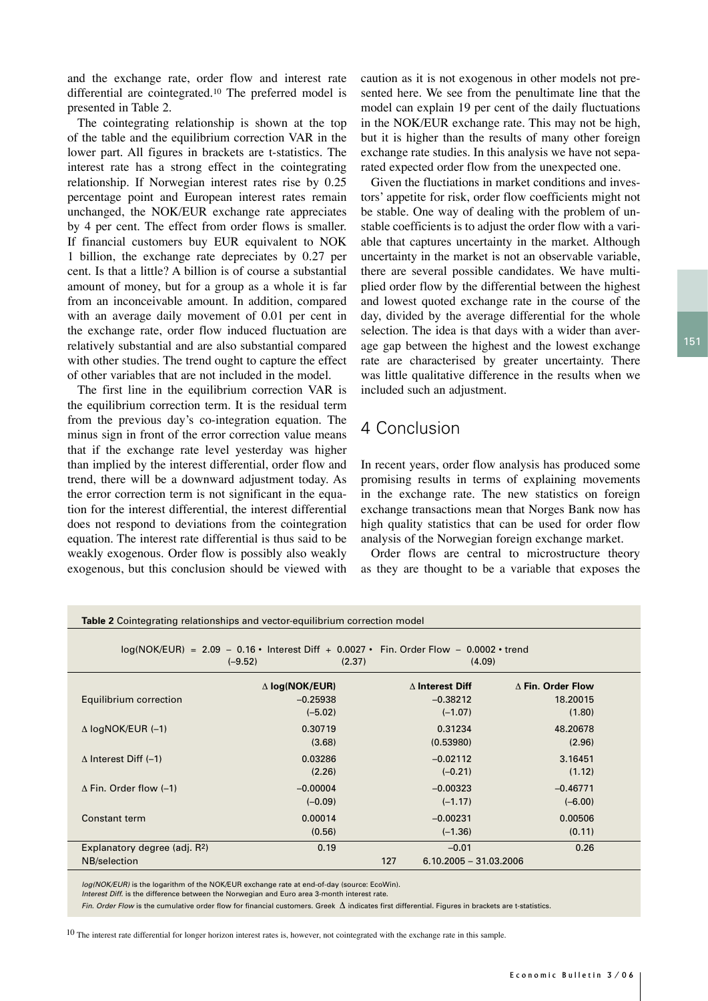and the exchange rate, order flow and interest rate differential are cointegrated.10 The preferred model is presented in Table 2.

The cointegrating relationship is shown at the top of the table and the equilibrium correction VAR in the lower part. All figures in brackets are t-statistics. The interest rate has a strong effect in the cointegrating relationship. If Norwegian interest rates rise by 0.25 percentage point and European interest rates remain unchanged, the NOK/EUR exchange rate appreciates by 4 per cent. The effect from order flows is smaller. If financial customers buy EUR equivalent to NOK 1 billion, the exchange rate depreciates by 0.27 per cent. Is that a little? A billion is of course a substantial amount of money, but for a group as a whole it is far from an inconceivable amount. In addition, compared with an average daily movement of 0.01 per cent in the exchange rate, order flow induced fluctuation are relatively substantial and are also substantial compared with other studies. The trend ought to capture the effect of other variables that are not included in the model.

The first line in the equilibrium correction VAR is the equilibrium correction term. It is the residual term from the previous day's co-integration equation. The minus sign in front of the error correction value means that if the exchange rate level yesterday was higher than implied by the interest differential, order flow and trend, there will be a downward adjustment today. As the error correction term is not significant in the equation for the interest differential, the interest differential does not respond to deviations from the cointegration equation. The interest rate differential is thus said to be weakly exogenous. Order flow is possibly also weakly exogenous, but this conclusion should be viewed with caution as it is not exogenous in other models not presented here. We see from the penultimate line that the model can explain 19 per cent of the daily fluctuations in the NOK/EUR exchange rate. This may not be high, but it is higher than the results of many other foreign exchange rate studies. In this analysis we have not separated expected order flow from the unexpected one.

Given the fluctiations in market conditions and investors' appetite for risk, order flow coefficients might not be stable. One way of dealing with the problem of unstable coefficients is to adjust the order flow with a variable that captures uncertainty in the market. Although uncertainty in the market is not an observable variable, there are several possible candidates. We have multiplied order flow by the differential between the highest and lowest quoted exchange rate in the course of the day, divided by the average differential for the whole selection. The idea is that days with a wider than average gap between the highest and the lowest exchange rate are characterised by greater uncertainty. There was little qualitative difference in the results when we included such an adjustment.

## 4 Conclusion

In recent years, order flow analysis has produced some promising results in terms of explaining movements in the exchange rate. The new statistics on foreign exchange transactions mean that Norges Bank now has high quality statistics that can be used for order flow analysis of the Norwegian foreign exchange market.

Order flows are central to microstructure theory as they are thought to be a variable that exposes the

| <b>Table 2</b> Cointegrating relationships and vector-equilibrium correction model                                        |                                 |                        |                          |  |  |
|---------------------------------------------------------------------------------------------------------------------------|---------------------------------|------------------------|--------------------------|--|--|
| $log(NOK/EUR) = 2.09 - 0.16$ • Interest Diff + 0.0027 • Fin. Order Flow - 0.0002 • trend<br>$(-9.52)$<br>(4.09)<br>(2.37) |                                 |                        |                          |  |  |
|                                                                                                                           | $\Delta$ log(NOK/EUR)           | $\Delta$ Interest Diff | $\Delta$ Fin. Order Flow |  |  |
| Equilibrium correction                                                                                                    | $-0.25938$                      | $-0.38212$             | 18.20015                 |  |  |
|                                                                                                                           | $(-5.02)$                       | $(-1.07)$              | (1.80)                   |  |  |
| $\triangle$ logNOK/EUR (-1)                                                                                               | 0.30719                         | 0.31234                | 48.20678                 |  |  |
|                                                                                                                           | (3.68)                          | (0.53980)              | (2.96)                   |  |  |
| $\triangle$ Interest Diff (-1)                                                                                            | 0.03286                         | $-0.02112$             | 3.16451                  |  |  |
|                                                                                                                           | (2.26)                          | $(-0.21)$              | (1.12)                   |  |  |
| $\Delta$ Fin. Order flow (-1)                                                                                             | $-0.00004$                      | $-0.00323$             | $-0.46771$               |  |  |
|                                                                                                                           | $(-0.09)$                       | $(-1.17)$              | $(-6.00)$                |  |  |
| Constant term                                                                                                             | 0.00014                         | $-0.00231$             | 0.00506                  |  |  |
|                                                                                                                           | (0.56)                          | $(-1.36)$              | (0.11)                   |  |  |
| Explanatory degree (adj. $R^2$ )                                                                                          | 0.19                            | $-0.01$                | 0.26                     |  |  |
| NB/selection                                                                                                              | 127<br>$6.10.2005 - 31.03.2006$ |                        |                          |  |  |

*log(NOK/EUR)* is the logarithm of the NOK/EUR exchange rate at end-of-day (source: EcoWin).

*Interest Diff*. is the difference between the Norwegian and Euro area 3-month interest rate.

*Fin. Order Flow* is the cumulative order flow for financial customers. Greek  $\Delta$  indicates first differential. Figures in brackets are t-statistics.

<sup>10</sup> The interest rate differential for longer horizon interest rates is, however, not cointegrated with the exchange rate in this sample.